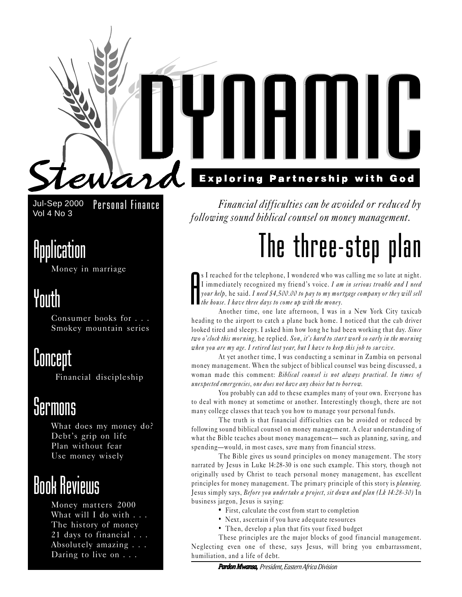

Jul-Sep 2000 Vol 4 No 3 Personal Finance

### Application

Money in marriage

### Youth

Consumer books for . . . Smokey mountain series

### **Concept**

Financial discipleship

### *<u>Sermons</u>*

What does my money do? Debt's grip on life Plan without fear Use money wisely

### Book Reviews

Money matters 2000 What will I do with . . . The history of money 21 days to financial . . . Absolutely amazing . . . Daring to live on . . .

Financial difficulties can be avoided or reduced by following sound biblical counsel on money management.

# The three-step plan

A s I reached for the telephone, I wondered who was calling me so late at night. I immediately recognized my friend's voice. I am in serious trouble and I need your help, he said. I need \$4,500.00 to pay to my mortgage company or they will sell the house. I have three days to come up with the money.

Another time, one late afternoon, I was in a New York City taxicab heading to the airport to catch a plane back home. I noticed that the cab driver looked tired and sleepy. I asked him how long he had been working that day. Since two o'clock this morning, he replied. Son, it's hard to start work so early in the morning when you are my age. I retired last year, but I have to keep this job to survive.

At yet another time, I was conducting a seminar in Zambia on personal money management. When the subject of biblical counsel was being discussed, a woman made this comment: Biblical counsel is not always practical. In times of unexpected emergencies, one does not have any choice but to borrow.

You probably can add to these examples many of your own. Everyone has to deal with money at sometime or another. Interestingly though, there are not many college classes that teach you how to manage your personal funds.

The truth is that financial difficulties can be avoided or reduced by following sound biblical counsel on money management. A clear understanding of what the Bible teaches about money management— such as planning, saving, and spending-would, in most cases, save many from financial stress.

The Bible gives us sound principles on money management. The story narrated by Jesus in Luke 14:28-30 is one such example. This story, though not originally used by Christ to teach personal money management, has excellent principles for money management. The primary principle of this story is planning. Jesus simply says, Before you undertake a project, sit down and plan (Lk 14:28-30) In business jargon, Jesus is saying:

- **•** First, calculate the cost from start to completion
- Next, ascertain if you have adequate resources
- Then, develop a plan that fits your fixed budget

These principles are the major blocks of good financial management. Neglecting even one of these, says Jesus, will bring you embarrassment, humiliation, and a life of debt.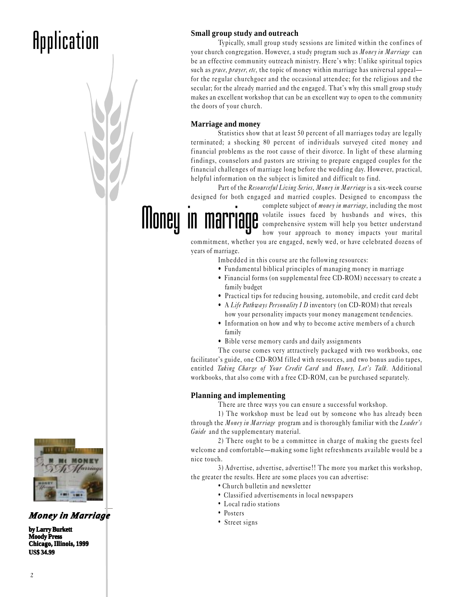## **Application** Small group study and outreach **Contract Small group study** and outreach

Typically, small group study sessions are limited within the confines of your church congregation. However, a study program such as *Money in Marriage* can be an effective community outreach ministry. Here's why: Unlike spiritual topics such as grace, prayer, etc, the topic of money within marriage has universal appeal for the regular churchgoer and the occasional attendee; for the religious and the secular; for the already married and the engaged. That's why this small group study makes an excellent workshop that can be an excellent way to open to the community the doors of your church.

#### **Marriage and money**

Money in marriage

Statistics show that at least 50 percent of all marriages today are legally terminated; a shocking 80 percent of individuals surveyed cited money and financial problems as the root cause of their divorce. In light of these alarming findings, counselors and pastors are striving to prepare engaged couples for the financial challenges of marriage long before the wedding day. However, practical, helpful information on the subject is limited and difficult to find.

Part of the Resourceful Living Series, Money in Marriage is a six-week course designed for both engaged and married couples. Designed to encompass the

> complete subject of *money in marriage*, including the most volatile issues faced by husbands and wives, this comprehensive system will help you better understand how your approach to money impacts your marital

commitment, whether you are engaged, newly wed, or have celebrated dozens of years of marriage.

Imbedded in this course are the following resources:

- Fundamental biblical principles of managing money in marriage
- Financial forms (on supplemental free CD-ROM) necessary to create a family budget
- Practical tips for reducing housing, automobile, and credit card debt
- A Life Pathways Personality I D inventory (on CD-ROM) that reveals how your personality impacts your money management tendencies.
- Information on how and why to become active members of a church family
- Bible verse memory cards and daily assignments

The course comes very attractively packaged with two workbooks, one facilitator's guide, one CD-ROM filled with resources, and two bonus audio tapes, entitled Taking Charge of Your Credit Card and Honey, Let's Talk. Additional workbooks, that also come with a free CD-ROM, can be purchased separately.

#### **Planning and implementing**

There are three ways you can ensure a successful workshop.

1) The workshop must be lead out by someone who has already been through the Money in Marriage program and is thoroughly familiar with the Leader's Guide and the supplementary material.

2) There ought to be a committee in charge of making the guests feel welcome and comfortable—making some light refreshments available would be a nice touch.

3) Advertise, advertise, advertise!! The more you market this workshop, the greater the results. Here are some places you can advertise:

- Church bulletin and newsletter
- Classif ied advertisements in local newspapers
- Local radio stations
- Posters
- 



### *Money in Marriage*  $\bullet$  Posters  $\bullet$  Posters igns

**by Larry Burkett Moody Press Chicago, Illinois, 1999 US\$ 34.99**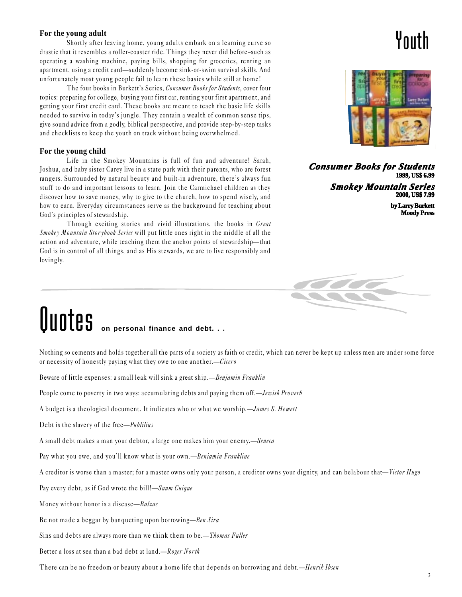#### **For the young adult**

Shortly after leaving home, young adults embark on a learning curve so drastic that it resembles a roller-coaster ride. Things they never did before-such as operating a washing machine, paying bills, shopping for groceries, renting an apartment, using a credit card—suddenly become sink-or-swim survival skills. And unfortunately most young people fail to learn these basics while still at home!

The four books in Burkett's Series, Consumer Books for Students, cover four topics: preparing for college, buying your first car, renting your first apartment, and getting your first credit card. These books are meant to teach the basic life skills needed to survive in today's jungle. They contain a wealth of common sense tips, give sound advice from a godly, biblical perspective, and provide step-by-step tasks and checklists to keep the youth on track without being overwhelmed.

#### **For the young child**

Life in the Smokey Mountains is full of fun and adventure! Sarah, Joshua, and baby sister Carey live in a state park with their parents, who are forest rangers. Surrounded by natural beauty and built-in adventure, there's always fun stuff to do and important lessons to learn. Join the Carmichael children as they discover how to save money, why to give to the church, how to spend wisely, and how to earn. Everyday circumstances serve as the background for teaching about God's principles of stewardship.

Through exciting stories and vivid illustrations, the books in Great Smokey Mountain Stor ybook Series will put little ones right in the middle of all the action and adventure, while teaching them the anchor points of stewardship—that God is in control of all things, and as His stewards, we are to live responsibly and lovingly.

### Youth



*Consumer Books for Students Books for Students* **1999, US\$ 6.99**

> *Smokey Mountain Series Series* **2000, US\$ 7.99**

> > **by Larry Burkett Moody Press**



# **QUOTES** on personal finance and debt. . .

Nothing so cements and holds together all the parts of a society as faith or credit, which can never be kept up unless men are under some force or necessity of honestly paying what they owe to one another.—Cicero

Beware of little expenses: a small leak will sink a great ship.—Benjamin Franklin

People come to poverty in two ways: accumulating debts and paying them off.—*Jewish Proverb* 

A budget is a theological document. It indicates who or what we worship.—James S. Hewett

Debt is the slavery of the free—*Publilius* 

A small debt makes a man your debtor, a large one makes him your enemy.—Seneca

Pay what you owe, and you'll know what is your own. - Benjamin Frankline

A creditor is worse than a master; for a master owns only your person, a creditor owns your dignity, and can belabour that—Victor Hugo

Pay every debt, as if God wrote the bill!—Suum Cuique

Money without honor is a disease—Balzac

Be not made a beggar by banqueting upon borrowing—Ben Sira

Sins and debts are always more than we think them to be.—*Thomas Fuller* 

Better a loss at sea than a bad debt at land.-Roger North

There can be no freedom or beauty about a home life that depends on borrowing and debt.—Henrik Ibsen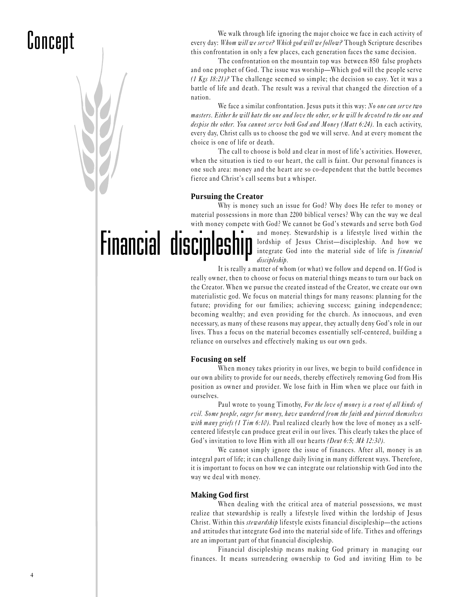## Concept

We walk through life ignoring the major choice we face in each activity of every day: Whom will we serve? Which god will we follow? Though Scripture describes this confrontation in only a few places, each generation faces the same decision.

The confrontation on the mountain top was between 850 false prophets and one prophet of God. The issue was worship—Which god will the people serve (1 Kgs  $18:21$ )? The challenge seemed so simple; the decision so easy. Yet it was a battle of life and death. The result was a revival that changed the direction of a nation.

We face a similar confrontation. Jesus puts it this way: No one can serve two masters. Either he will hate the one and love the other, or he will be devoted to the one and despise the other. You cannot serve both God and Money (Matt 6:24). In each activity, every day, Christ calls us to choose the god we will serve. And at every moment the choice is one of life or death.

The call to choose is bold and clear in most of life's activities. However, when the situation is tied to our heart, the call is faint. Our personal finances is one such area: money and the heart are so co-dependent that the battle becomes fierce and Christ's call seems but a whisper.

#### **Pursuing the Creator**

Financial discipleship Why is money such an issue for God? Why does He refer to money or material possessions in more than 2200 biblical verses? Why can the way we deal with money compete with God? We cannot be God's stewards and serve both God

and money. Stewardship is a lifestyle lived within the lordship of Jesus Christ—discipleship. And how we integrate God into the material side of life is *financial* discipleship.

It is really a matter of whom (or what) we follow and depend on. If God is really owner, then to choose or focus on material things means to turn our back on the Creator. When we pursue the created instead of the Creator, we create our own materialistic god. We focus on material things for many reasons: planning for the future; providing for our families; achieving success; gaining independence; becoming wealthy; and even providing for the church. As innocuous, and even necessary, as many of these reasons may appear, they actually deny God's role in our lives. Thus a focus on the material becomes essentially self-centered, building a reliance on ourselves and effectively making us our own gods.

#### **Focusing on self**

When money takes priority in our lives, we begin to build confidence in our own ability to provide for our needs, thereby effectively removing God from His position as owner and provider. We lose faith in Him when we place our faith in ourselves.

Paul wrote to young Timothy, For the love of money is a root of all kinds of evil. Some people, eager for money, have wandered from the faith and pierced themselves with many griefs (1 Tim 6:10). Paul realized clearly how the love of money as a selfcentered lifestyle can produce great evil in our lives. This clearly takes the place of God's invitation to love Him with all our hearts (Deut 6:5; Mk 12:30).

We cannot simply ignore the issue of finances. After all, money is an integral part of life; it can challenge daily living in many different ways. Therefore, it is important to focus on how we can integrate our relationship with God into the way we deal with money.

#### **Making God first**

When dealing with the critical area of material possessions, we must realize that stewardship is really a lifestyle lived within the lordship of Jesus Christ. Within this *stewardship* lifestyle exists financial discipleship—the actions and attitudes that integrate God into the material side of life. Tithes and offerings are an important part of that financial discipleship.

Financial discipleship means making God primary in managing our finances. It means surrendering ownership to God and inviting Him to be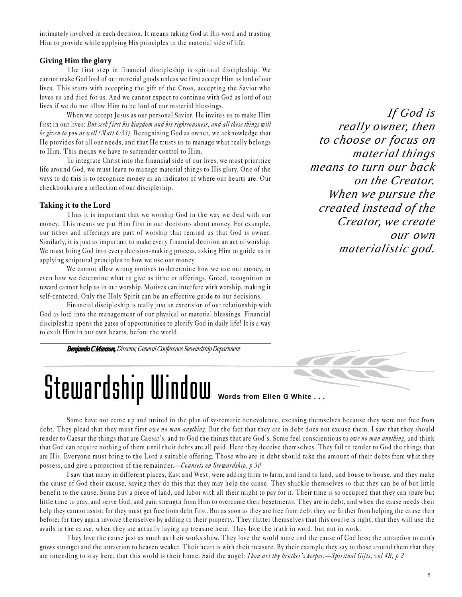intimately involved in each decision. It means taking God at His word and trusting Him to provide while applying His principles to the material side of life.

#### **Giving Him the glory**

The first step in financial discipleship is spiritual discipleship. We cannot make God lord of our material goods unless we first accept Him as lord of our lives. This starts with accepting the gift of the Cross, accepting the Savior who loves us and died for us. And we cannot expect to continue with God as lord of our lives if we do not allow Him to be lord of our material blessings.

When we accept Jesus as our personal Savior, He invites us to make Him first in our lives: But seek first his kingdom and his righteousness, and all these things will be given to you as well (Matt 6:33). Recognizing God as owner, we acknowledge that He provides for all our needs, and that He trusts us to manage what really belongs to Him. This means we have to surrender control to Him.

To integrate Christ into the financial side of our lives, we must prioritize life around God, we must learn to manage material things to His glory. One of the ways to do this is to recognize money as an indicator of where our hearts are. Our checkbooks are a reflection of our discipleship.

#### **Taking it to the Lord**

Thus it is important that we worship God in the way we deal with our money. This means we put Him first in our decisions about money. For example, our tithes and offerings are part of worship that remind us that God is owner. Similarly, it is just as important to make every financial decision an act of worship. We must bring God into every decision-making process, asking Him to guide us in applying scriptural principles to how we use our money.

We cannot allow wrong motives to determine how we use our money, or even how we determine what to give as tithe or offerings. Greed, recognition or reward cannot help us in our worship. Motives can inter fere with worship, making it self-centered. Only the Holy Spirit can be an effective guide to our decisions.

Financial discipleship is really just an extension of our relationship with God as lord into the management of our physical or material blessings. Financial discipleship opens the gates of opportunities to glorify God in daily life! It is a way to exalt Him in our own hearts, before the world.

*Benjamin C Maxson, Director, General Conference Stewardship Department*

*If God is really owner, then to choose or focus on material things means to turn our back on the Creator. When we pursue the created instead of the Creator, we create our own materialistic god.*



# Stewardship Window **Words from Ellen G White ...**

Some have not come up and united in the plan of systematic benevolence, excusing themselves because they were not free from debt. They plead that they must first owe no man anything. But the fact that they are in debt does not excuse them. I saw that they should render to Caesar the things that are Caesar's, and to God the things that are God's. Some feel conscientious to owe no man anything, and think that God can require nothing of them until their debts are all paid. Here they deceive themselves. They fail to render to God the things that are His. Everyone must bring to the Lord a suitable offering. Those who are in debt should take the amount of their debts from what they possess, and give a proportion of the remainder.—Counsels on Stewardship,  $p$  30

I saw that many in different places, East and West, were adding farm to farm, and land to land, and house to house, and they make the cause of God their excuse, saying they do this that they may help the cause. They shackle themselves so that they can be of but little benefit to the cause. Some buy a piece of land, and labor with all their might to pay for it. Their time is so occupied that th ey can spare but little time to pray, and serve God, and gain strength from Him to overcome their besetments. They are in debt, and when the cause needs their help they cannot assist; for they must get free from debt first. But as soon as they are free from debt they are farther from helping the cause than before; for they again involve themselves by adding to their property. They flatter themselves that this course is right, that they will use the avails in the cause, when they are actually laying up treasure here. They love the truth in word, but not in work.

They love the cause just as much as their works show. They love the world more and the cause of God less; the attraction to earth grows stronger and the attraction to heaven weaker. Their heart is with their treasure. By their example they say to those around them that they are intending to stay here, that this world is their home. Said the angel: Thou art thy brother's keeper.—Spiritual Gifts, vol 4B, p 2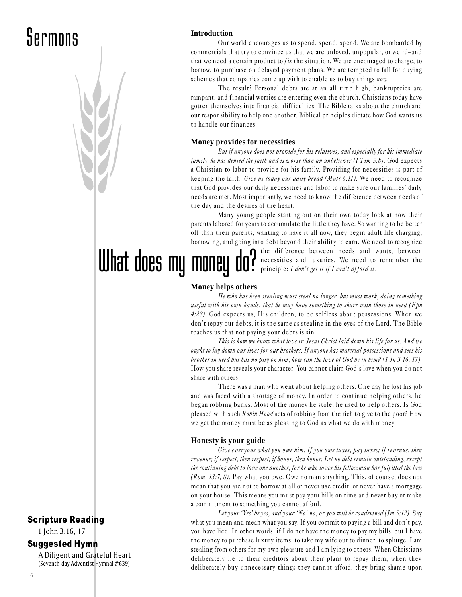### Sermons

### Scripture Reading

1 John 3:16, 17

#### Suggested Hymn

A Diligent and Grateful Heart (Seventh-day Adventist Hymnal #639)

**Introduction**

Our world encourages us to spend, spend, spend. We are bombarded by commercials that try to convince us that we are unloved, unpopular, or weird-and that we need a certain product to  $fix$  the situation. We are encouraged to charge, to borrow, to purchase on delayed payment plans. We are tempted to fall for buying schemes that companies come up with to enable us to buy things now.

The result? Personal debts are at an all time high, bankruptcies are rampant, and financial worries are entering even the church. Christians today have gotten themselves into financial difficulties. The Bible talks about the church and our responsibility to help one another. Biblical principles dictate how God wants us to handle our finances.

#### **Money provides for necessities**

But if anyone does not provide for his relatives, and especially for his immediate family, he has denied the faith and is worse than an unbeliever  $(1 \text{ Tim } 5.8)$ . God expects a Christian to labor to provide for his family. Providing for necessities is part of keeping the faith. Give us today our daily bread (Matt 6:11). We need to recognize that God provides our daily necessities and labor to make sure our families' daily needs are met. Most importantly, we need to know the difference between needs of the day and the desires of the heart.

Many young people starting out on their own today look at how their parents labored for years to accumulate the little they have. So wanting to be better off than their parents, wanting to have it all now, they begin adult life charging, borrowing, and going into debt beyond their ability to earn. We need to recognize

What does my money do? the difference between needs and wants, between necessities and luxuries. We need to remember the principle:  $I$  don't get it if  $I$  can't afford it.

#### **Money helps others**

He who has been stealing must steal no longer, but must work, doing something useful with his own hands, that he may have something to share with those in need (Eph 4:28). God expects us, His children, to be selfless about possessions. When we don't repay our debts, it is the same as stealing in the eyes of the Lord. The Bible teaches us that not paying your debts is sin.

This is how we know what love is: Jesus Christ laid down his life for us. And we ought to lay down our lives for our brothers. If anyone has material possessions and sees his brother in need but has no pity on him, how can the love of God be in him?  $(1 \text{ Jn } 3.16, 17)$ . How you share reveals your character. You cannot claim God's love when you do not share with others

There was a man who went about helping others. One day he lost his job and was faced with a shortage of money. In order to continue helping others, he began robbing banks. Most of the money he stole, he used to help others. Is God pleased with such Robin Hood acts of robbing from the rich to give to the poor? How we get the money must be as pleasing to God as what we do with money

#### **Honesty is your guide**

Give ever yone what you owe him: If you owe taxes, pay taxes; if revenue, then revenue; if respect, then respect; if honor, then honor. Let no debt remain outstanding, except the continuing debt to love one another, for he who loves his fellowman has fulf illed the law (Rom. 13:7, 8). Pay what you owe. Owe no man anything. This, of course, does not mean that you are not to borrow at all or never use credit, or never have a mortgage on your house. This means you must pay your bills on time and never buy or make a commitment to something you cannot afford.

Let your 'Yes' be yes, and your 'No' no, or you will be condemned (Jm 5:12). Say what you mean and mean what you say. If you commit to paying a bill and don't pay, you have lied. In other words, if I do not have the money to pay my bills, but I have the money to purchase luxury items, to take my wife out to dinner, to splurge, I am stealing from others for my own pleasure and I am lying to others. When Christians deliberately lie to their creditors about their plans to repay them, when they deliberately buy unnecessary things they cannot afford, they bring shame upon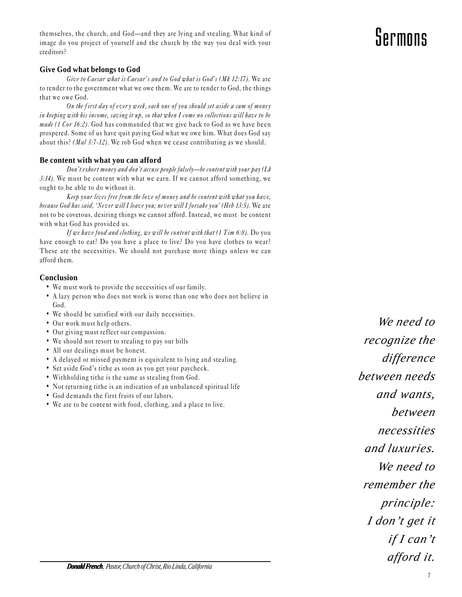*Donald French, Pastor, Church of Christ, Rio Linda, California*

themselves, the church, and God—and they are lying and stealing. What kind of image do you project of yourself and the church by the way you deal with your creditors?

#### **Give God what belongs to God**

Give to Caesar what is Caesar's and to God what is God's (Mk 12:17). We are to render to the government what we owe them. We are to render to God, the things that we owe God.

On the first day of ever y week, each one of you should set aside a sum of money in keeping with his income, saving it up, so that when I come no collections will have to be made (1 Cor 16:2). God has commanded that we give back to God as we have been prospered. Some of us have quit paying God what we owe him. What does God say about this? (Mal 3:7-12). We rob God when we cease contributing as we should.

#### **Be content with what you can afford**

Don't exhort money and don't accuse people falsely-be content with your pay (Lk 3:14). We must be content with what we earn. If we cannot afford something, we ought to be able to do without it.

Keep your lives free from the love of money and be content with what you have, because God has said, 'Never will I leave you; never will I forsake you' (Heb 13:5). We are not to be covetous, desiring things we cannot afford. Instead, we must be content with what God has provided us.

If we have food and clothing, we will be content with that (1 Tim 6:8). Do you have enough to eat? Do you have a place to live? Do you have clothes to wear? These are the necessities. We should not purchase more things unless we can afford them.

#### **Conclusion**

- We must work to provide the necessities of our family.
- A lazy person who does not work is worse than one who does not believe in God.
- We should be satisfied with our daily necessities.
- Our work must help others.
- Our giving must reflect our compassion.
- We should not resort to stealing to pay our bills
- All our dealings must be honest.
- A delayed or missed payment is equivalent to lying and stealing.
- Set aside God's tithe as soon as you get your paycheck.
- Withholding tithe is the same as stealing from God.
- Not returning tithe is an indication of an unbalanced spiritual life
- God demands the first fruits of our labors.
- We are to be content with food, clothing, and a place to live.

*recognize the difference between needs and wants, between necessities and luxuries. We need to remember the principle: I don't get it if I can't afford it.*

*We need to*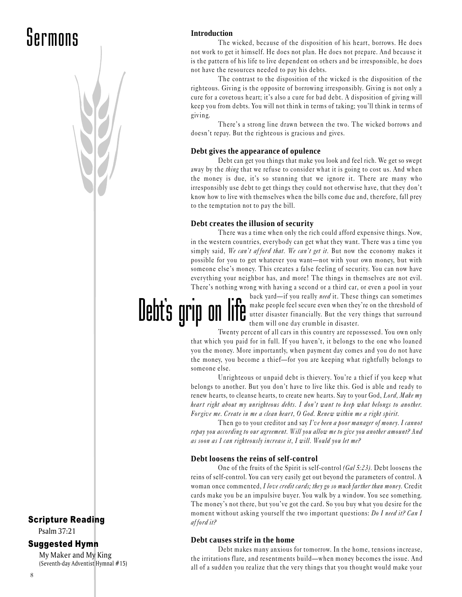## **Sermons** Introduction

#### Scripture Reading

Psalm 37:21

#### Suggested Hymn

My Maker and My King (Seventh-day Adventist Hymnal #15)

Debt's grip on

The wicked, because of the disposition of his heart, borrows. He does not work to get it himself. He does not plan. He does not prepare. And because it is the pattern of his life to live dependent on others and be irresponsible, he does not have the resources needed to pay his debts.

The contrast to the disposition of the wicked is the disposition of the righteous. Giving is the opposite of borrowing irresponsibly. Giving is not only a cure for a covetous heart; it's also a cure for bad debt. A disposition of giving will keep you from debts. You will not think in terms of taking; you'll think in terms of giving.

There's a strong line drawn between the two. The wicked borrows and doesn't repay. But the righteous is gracious and gives.

#### **Debt gives the appearance of opulence**

Debt can get you things that make you look and feel rich. We get so swept away by the *thing* that we refuse to consider what it is going to cost us. And when the money is due, it's so stunning that we ignore it. There are many who irresponsibly use debt to get things they could not otherwise have, that they don't know how to live with themselves when the bills come due and, therefore, fall prey to the temptation not to pay the bill.

#### **Debt creates the illusion of security**

There was a time when only the rich could afford expensive things. Now, in the western countries, everybody can get what they want. There was a time you simply said, We can't afford that. We can't get it. But now the economy makes it possible for you to get whatever you want-not with your own money, but with someone else's money. This creates a false feeling of security. You can now have everything your neighbor has, and more! The things in themselves are not evil. There's nothing wrong with having a second or a third car, or even a pool in your

> back yard—if you really need it. These things can sometimes make people feel secure even when they're on the threshold of utter disaster financially. But the very things that surround them will one day crumble in disaster.

Twenty percent of all cars in this country are repossessed. You own only that which you paid for in full. If you haven't, it belongs to the one who loaned you the money. More importantly, when payment day comes and you do not have the money, you become a thief-for you are keeping what rightfully belongs to someone else.

Unrighteous or unpaid debt is thievery. You're a thief if you keep what belongs to another. But you don't have to live like this. God is able and ready to renew hearts, to cleanse hearts, to create new hearts. Say to your God, Lord, Make my heart right about my unrighteous debts. I don't want to keep what belongs to another. For give me. Create in me a clean heart, O God. Renew within me a right spirit.

Then go to your creditor and say I've been a poor manager of money. I cannot repay you according to our agreement. Will you allow me to give you another amount? And as soon as I can righteously increase it, I will. Would you let me?

#### **Debt loosens the reins of self-control**

One of the fruits of the Spirit is self-control (Gal 5:23). Debt loosens the reins of self-control. You can very easily get out beyond the parameters of control. A woman once commented, I love credit cards; they go so much farther than money. Credit cards make you be an impulsive buyer. You walk by a window. You see something. The money's not there, but you've got the card. So you buy what you desire for the moment without asking yourself the two important questions: Do I need it? Can I afford it?

#### **Debt causes strife in the home**

Debt makes many anxious for tomorrow. In the home, tensions increase, the irritations flare, and resentments build—when money becomes the issue. And all of a sudden you realize that the very things that you thought would make your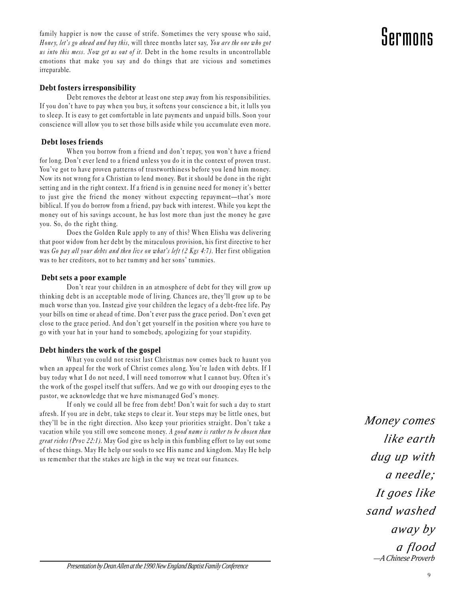family happier is now the cause of strife. Sometimes the very spouse who said, Honey, let's go ahead and buy this, will three months later say, You are the one who got us into this mess. Now get us out of it. Debt in the home results in uncontrollable emotions that make you say and do things that are vicious and sometimes irreparable.

#### **Debt fosters irresponsibility**

Debt removes the debtor at least one step away from his responsibilities. If you don't have to pay when you buy, it softens your conscience a bit, it lulls you to sleep. It is easy to get comfortable in late payments and unpaid bills. Soon your conscience will allow you to set those bills aside while you accumulate even more.

#### **Debt loses friends**

When you borrow from a friend and don't repay, you won't have a friend for long. Don't ever lend to a friend unless you do it in the context of proven trust. You've got to have proven patterns of trustworthiness before you lend him money. Now its not wrong for a Christian to lend money. But it should be done in the right setting and in the right context. If a friend is in genuine need for money it's better to just give the friend the money without expecting repayment—that's more biblical. If you do borrow from a friend, pay back with interest. While you kept the money out of his savings account, he has lost more than just the money he gave you. So, do the right thing.

Does the Golden Rule apply to any of this? When Elisha was delivering that poor widow from her debt by the miraculous provision, his first directive to her was Go pay all your debts and then live on what's left (2 Kgs 4:7). Her first obligation was to her creditors, not to her tummy and her sons' tummies.

#### **Debt sets a poor example**

Don't rear your children in an atmosphere of debt for they will grow up thinking debt is an acceptable mode of living. Chances are, they'll grow up to be much worse than you. Instead give your children the legacy of a debt-free life. Pay your bills on time or ahead of time. Don't ever pass the grace period. Don't even get close to the grace period. And don't get yourself in the position where you have to go with your hat in your hand to somebody, apologizing for your stupidity.

#### **Debt hinders the work of the gospel**

What you could not resist last Christmas now comes back to haunt you when an appeal for the work of Christ comes along. You're laden with debts. If I buy today what I do not need, I will need tomorrow what I cannot buy. Often it's the work of the gospel itself that suffers. And we go with our drooping eyes to the pastor, we acknowledge that we have mismanaged God's money.

If only we could all be free from debt! Don't wait for such a day to start afresh. If you are in debt, take steps to clear it. Your steps may be little ones, but they'll be in the right direction. Also keep your priorities straight. Don't take a vacation while you still owe someone money. A good name is rather to be chosen than great riches (Prov 22:1). May God give us help in this fumbling effort to lay out some of these things. May He help our souls to see His name and kingdom. May He help us remember that the stakes are high in the way we treat our finances.

*Money comes like earth dug up with a needle; It goes like sand washed away by a flood —A Chinese Proverb*

*Presentation by Dean Allen at the 1990 New England Baptist Family Conference*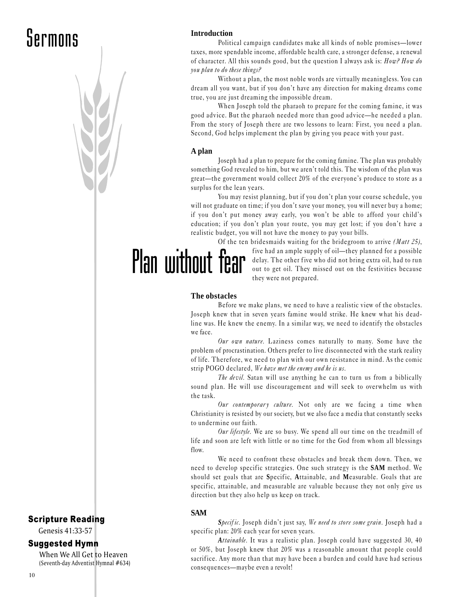### **Sermons** Introduction

Political campaign candidates make all kinds of noble promises—lower taxes, more spendable income, affordable health care, a stronger defense, a renewal of character. All this sounds good, but the question I always ask is:  $How$ ?  $How do$ you plan to do these things?

Without a plan, the most noble words are virtually meaningless. You can dream all you want, but if you don't have any direction for making dreams come true, you are just dreaming the impossible dream.

When Joseph told the pharaoh to prepare for the coming famine, it was good advice. But the pharaoh needed more than good advice—he needed a plan. From the story of Joseph there are two lessons to learn: First, you need a plan. Second, God helps implement the plan by giving you peace with your past.

#### **A plan**

Joseph had a plan to prepare for the coming famine. The plan was probably something God revealed to him, but we aren't told this. The wisdom of the plan was great—the government would collect 20% of the everyone's produce to store as a surplus for the lean years.

You may resist planning, but if you don't plan your course schedule, you will not graduate on time; if you don't save your money, you will never buy a home; if you don't put money away early, you won't be able to afford your child's education; if you don't plan your route, you may get lost; if you don't have a realistic budget, you will not have the money to pay your bills.

Of the ten bridesmaids waiting for the bridegroom to arrive (Matt 25), five had an ample supply of oil—they planned for a possible delay. The other five who did not bring extra oil, had to run out to get oil. They missed out on the festivities because they were not prepared. Plan without fear

#### **The obstacles**

Before we make plans, we need to have a realistic view of the obstacles. Joseph knew that in seven years famine would strike. He knew what his deadline was. He knew the enemy. In a similar way, we need to identify the obstacles we face.

Our own nature. Laziness comes naturally to many. Some have the problem of procrastination. Others prefer to live disconnected with the stark reality of life. Therefore, we need to plan with our own resistance in mind. As the comic strip POGO declared, We have met the enemy and he is us.

The devil. Satan will use anything he can to turn us from a biblically sound plan. He will use discouragement and will seek to overwhelm us with the task.

Our contemporary culture. Not only are we facing a time when Christianity is resisted by our society, but we also face a media that constantly seeks to undermine our faith.

Our lifestyle. We are so busy. We spend all our time on the treadmill of life and soon are left with little or no time for the God from whom all blessings flow.

We need to confront these obstacles and break them down. Then, we need to develop specific strategies. One such strategy is the **SAM** method. We should set goals that are **S**pecific, **A**ttainable, and **M**easurable. Goals that are specific, attainable, and measurable are valuable because they not only give us direction but they also help us keep on track.

#### **SAM**

Specific. Joseph didn't just say, We need to store some grain. Joseph had a specific plan: 20% each year for seven years.

*A*ttainable. It was a realistic plan. Joseph could have suggested 30, 40 or 50%, but Joseph knew that 20% was a reasonable amount that people could sacrifice. Any more than that may have been a burden and could have had serious consequences—maybe even a revolt!

### Scripture Reading

Genesis 41:33-57

#### Suggested Hymn

When We All Get to Heaven (Seventh-day Adventist Hymnal #634)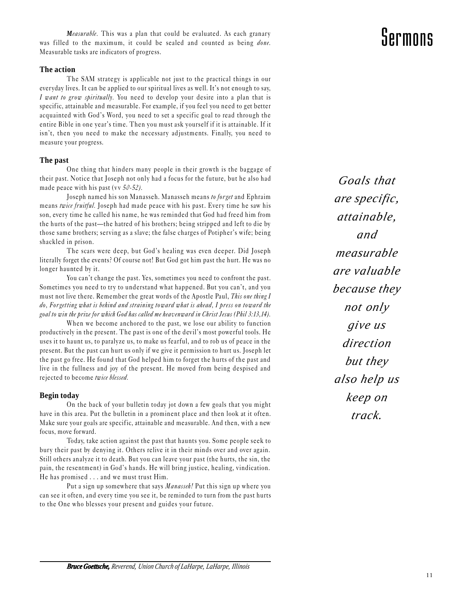*Measurable*. This was a plan that could be evaluated. As each granary was filled to the maximum, it could be sealed and counted as being done. Measurable tasks are indicators of progress.

#### **The action**

The SAM strategy is applicable not just to the practical things in our everyday lives. It can be applied to our spiritual lives as well. It's not enough to say, I want to grow spiritually. You need to develop your desire into a plan that is specific, attainable and measurable. For example, if you feel you need to get better acquainted with God's Word, you need to set a specific goal to read through the entire Bible in one year's time. Then you must ask yourself if it is attainable. If it isn't, then you need to make the necessary adjustments. Finally, you need to measure your progress.

#### **The past**

One thing that hinders many people in their growth is the baggage of their past. Notice that Joseph not only had a focus for the future, but he also had made peace with his past (vv  $50-52$ ).

Joseph named his son Manasseh. Manasseh means to forget and Ephraim means twice fruitful. Joseph had made peace with his past. Every time he saw his son, every time he called his name, he was reminded that God had freed him from the hurts of the past—the hatred of his brothers; being stripped and left to die by those same brothers; serving as a slave; the false charges of Potipher's wife; being shackled in prison.

The scars were deep, but God's healing was even deeper. Did Joseph literally forget the events? Of course not! But God got him past the hurt. He was no longer haunted by it.

You can't change the past. Yes, sometimes you need to confront the past. Sometimes you need to try to understand what happened. But you can't, and you must not live there. Remember the great words of the Apostle Paul, This one thing I do, Forgetting what is behind and straining toward what is ahead, I press on toward the goal to win the prize for which God has called me heav enward in Christ Jesus (Phil 3:13,14).

When we become anchored to the past, we lose our ability to function productively in the present. The past is one of the devil's most powerful tools. He uses it to haunt us, to paralyze us, to make us fearful, and to rob us of peace in the present. But the past can hurt us only if we give it permission to hurt us. Joseph let the past go free. He found that God helped him to forget the hurts of the past and live in the fullness and joy of the present. He moved from being despised and rejected to become twice blessed.

#### **Begin today**

On the back of your bulletin today jot down a few goals that you might have in this area. Put the bulletin in a prominent place and then look at it often. Make sure your goals are specific, attainable and measurable. And then, with a new focus, move forward.

Today, take action against the past that haunts you. Some people seek to bury their past by denying it. Others relive it in their minds over and over again. Still others analyze it to death. But you can leave your past (the hurts, the sin, the pain, the resentment) in God's hands. He will bring justice, healing, vindication. He has promised . . . and we must trust Him.

Put a sign up somewhere that says Manasseh! Put this sign up where you can see it often, and every time you see it, be reminded to turn from the past hurts to the One who blesses your present and guides your future.

*Goals that are specific, attainable, and measurable are valuable because they not only give us direction but they also help us keep on track.*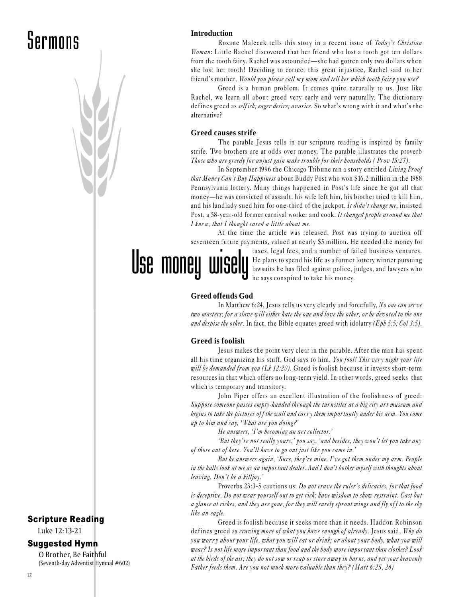### Sermons

#### **Introduction**

Roxane Malecek tells this story in a recent issue of Today's Christian Woman: Little Rachel discovered that her friend who lost a tooth got ten dollars from the tooth fairy. Rachel was astounded—she had gotten only two dollars when she lost her tooth! Deciding to correct this great injustice, Rachel said to her friend's mother, Would you please call my mom and tell her which tooth fairy you use?

Greed is a human problem. It comes quite naturally to us. Just like Rachel, we learn all about greed very early and very naturally. The dictionary defines greed as *self ish; eager desire; avarice*. So what's wrong with it and what's the alternative?

#### **Greed causes strife**

The parable Jesus tells in our scripture reading is inspired by family strife. Two brothers are at odds over money. The parable illustrates the proverb Those who are greedy for unjust gain make trouble for their households (Prov 15:27).

In September 1996 the Chicago Tribune ran a story entitled Living Proof that Money Can't Buy Happiness about Buddy Post who won \$16.2 million in the 1988 Pennsylvania lottery. Many things happened in Post's life since he got all that money—he was convicted of assault, his wife left him, his brother tried to kill him, and his landlady sued him for one-third of the jackpot. It didn't change me, insisted Post, a 58-year-old former carnival worker and cook. It changed people around me that I knew, that I thought cared a little about me.

At the time the article was released, Post was trying to auction off seventeen future payments, valued at nearly \$5 million. He needed the money for

> taxes, legal fees, and a number of failed business ventures. He plans to spend his life as a former lottery winner pursuing lawsuits he has filed against police, judges, and lawyers who he says conspired to take his money.

#### **Greed offends God**

Use money wise

In Matthew 6:24, Jesus tells us very clearly and forcefully, No one can ser ve two masters; for a slave will either hate the one and love the other, or be devoted to the one and despise the other. In fact, the Bible equates greed with idolatry (Eph 5:5; Col 3:5).

#### **Greed is foolish**

Jesus makes the point very clear in the parable. After the man has spent all his time organizing his stuff, God says to him, You fool! This very night your life will be demanded from you (Lk 12:20). Greed is foolish because it invests short-term resources in that which offers no long-term yield. In other words, greed seeks that which is temporary and transitory.

John Piper offers an excellent illustration of the foolishness of greed: Suppose someone passes empty-handed through the turnstiles at a big city art museum and begins to take the pictures off the wall and carry them importantly under his arm. You come up to him and say, 'What are you doing?'

He answers, 'I'm becoming an art collector.'

'But they're not really yours,' you say, 'and besides, they won't let you take any of those out of here. You'll have to go out just like you came in.'

But he answers again, 'Sure, they're mine. I've got them under my arm. People in the halls look at me as an important dealer. And I don't bother myself with thoughts about  $leaving.$  Don't be a killjoy.'

Proverbs 23:3-5 cautions us: Do not crave the ruler's delicacies, for that food is deceptive. Do not wear yourself out to get rich; have wisdom to show restraint. Cast but a glance at riches, and they are gone, for they will surely sprout wings and fly off to the sky like an eagle.

Greed is foolish because it seeks more than it needs. Haddon Robinson defines greed as craving more of what you have enough of already. Jesus said, Why do you worry about your life, what you will eat or drink; or about your body, what you will wear? Is not life more important than food and the body more important than clothes? Look at the birds of the air; they do not sow or reap or store away in barns, and yet your heavenly Father feeds them. Are you not much more valuable than they? (Matt  $6:25, 26$ )

#### Scripture Reading

Luke 12:13-21

#### Suggested Hymn

O Brother, Be Faithful (Seventh-day Adventist Hymnal #602)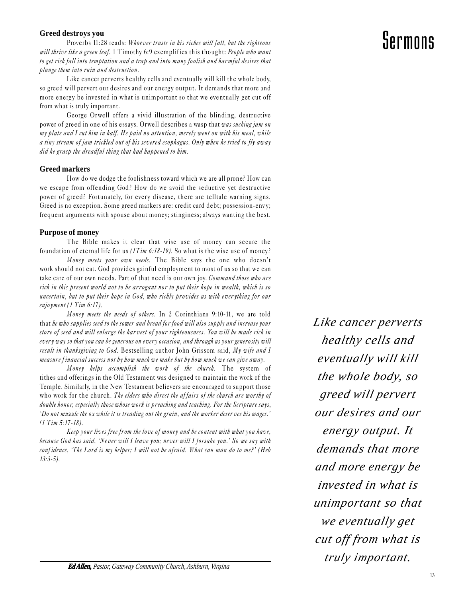#### **Greed destroys you**

Proverbs 11:28 reads: Whoever trusts in his riches will fall, but the righteous will thrive like a green leaf. 1 Timothy 6:9 exemplifies this thought: People who want to get rich fall into temptation and a trap and into many foolish and harmful desires that plunge them into ruin and destruction.

Like cancer perverts healthy cells and eventually will kill the whole body, so greed will pervert our desires and our energy output. It demands that more and more energy be invested in what is unimportant so that we eventually get cut off from what is truly important.

George Orwell offers a vivid illustration of the blinding, destructive power of greed in one of his essays. Orwell describes a wasp that was sucking jam on my plate and I cut him in half. He paid no attention, merely went on with his meal, while a tiny stream of jam trickled out of his severed esophagus. Only when he tried to fly away did he grasp the dreadful thing that had happened to him.

#### **Greed markers**

How do we dodge the foolishness toward which we are all prone? How can we escape from offending God? How do we avoid the seductive yet destructive power of greed? Fortunately, for every disease, there are telltale warning signs. Greed is no exception. Some greed markers are: credit card debt; possession-envy; frequent arguments with spouse about money; stinginess; always wanting the best.

#### **Purpose of money**

The Bible makes it clear that wise use of money can secure the foundation of eternal life for us  $(1 Tim 6:18-19)$ . So what is the wise use of money?

Money meets your own needs. The Bible says the one who doesn't work should not eat. God provides gainful employment to most of us so that we can take care of our own needs. Part of that need is our own joy. Command those who are rich in this present world not to be arrogant nor to put their hope in wealth, which is so uncertain, but to put their hope in God, who richly provides us with ever ything for our enjoyment (1  $Tim 6:17$ ).

Money meets the needs of others. In 2 Corinthians 9:10-11, we are told that he who supplies seed to the sower and bread for food will also supply and increase your store of seed and will enlarge the harvest of your righteousness. You will be made rich in every way so that you can be generous on every occasion, and through us your generosity will result in thanksgiving to God. Bestselling author John Grissom said, My wife and I measure f inancial success not by how much we make but by how much we can give away.

Money helps accomplish the work of the church. The system of tithes and offerings in the Old Testament was designed to maintain the work of the Temple. Similarly, in the New Testament believers are encouraged to support those who work for the church. The elders who direct the affairs of the church are worthy of double honor, especially those whose work is preaching and teaching. For the Scripture says, Do not muzzle the ox while it is treading out the grain, and the worker deser ves his wages. (1 Tim 5:17-18).

Keep your lives free from the love of money and be content with what you have, because God has said, 'Never will I leave you; never will I forsake you.' So we say with conf idence, The Lord is my helper; I will not be afraid. What can man do to me? (Heb 13:3-5).

*Like cancer perverts healthy cells and eventually will kill the whole body, so greed will pervert our desires and our energy output. It demands that more and more energy be invested in what is unimportant so that we eventually get cut off from what is truly important.*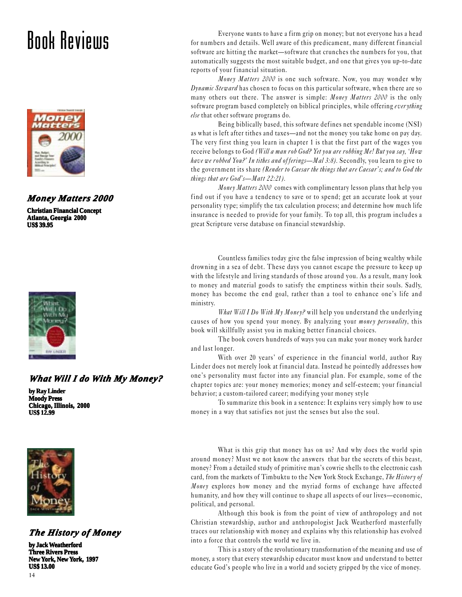### Book Reviews



#### *Money Matters 2000*

**Christian Financial Concept Atlanta, Georgia 2000 US\$ 39.95**



#### *What Will I do With My Money?*

**by Ray Linder Moody Press Chicago, Illinois, 2000 US\$ 12.99**



#### *The History of Money*

**by Jack Weatherford Three Rivers Press New York, New York, 1997 US\$ 13.00**

Everyone wants to have a firm grip on money; but not everyone has a head for numbers and details. Well aware of this predicament, many different financial software are hitting the market—software that crunches the numbers for you, that automatically suggests the most suitable budget, and one that gives you up-to-date reports of your financial situation.

Money Matters 2000 is one such software. Now, you may wonder why Dynamic Steward has chosen to focus on this particular software, when there are so many others out there. The answer is simple: *Money Matters 2000* is the only software program based completely on biblical principles, while offering everything else that other software programs do.

Being biblically based, this software defines net spendable income (NSI) as what is left after tithes and taxes—and not the money you take home on pay day. The very first thing you learn in chapter 1 is that the first part of the wages you receive belongs to God (Will a man rob God? Yet you are robbing Me! But you say, 'How have we robbed You?' In tithes and offerings—Mal 3:8). Secondly, you learn to give to the government its share (Render to Caesar the things that are Caesar's; and to God the things that are  $God's$ — $M$ att 22:21).

Money Matters 2000 comes with complimentary lesson plans that help you find out if you have a tendency to save or to spend; get an accurate look at your personality type; simplify the tax calculation process; and determine how much life insurance is needed to provide for your family. To top all, this program includes a great Scripture verse database on financial stewardship.

Countless families today give the false impression of being wealthy while drowning in a sea of debt. These days you cannot escape the pressure to keep up with the lifestyle and living standards of those around you. As a result, many look to money and material goods to satisfy the emptiness within their souls. Sadly, money has become the end goal, rather than a tool to enhance one's life and ministry.

What Will I Do With My Money? will help you understand the underlying causes of how you spend your money. By analyzing your *money personality*, this book will skillfully assist you in making better financial choices.

The book covers hundreds of ways you can make your money work harder and last longer.

With over 20 years' of experience in the financial world, author Ray Linder does not merely look at financial data. Instead he pointedly addresses how one's personality must factor into any financial plan. For example, some of the chapter topics are: your money memories; money and self-esteem; your financial behavior; a custom-tailored career; modifying your money style

To summarize this book in a sentence: It explains very simply how to use money in a way that satisfies not just the senses but also the soul.

What is this grip that money has on us? And why does the world spin around money? Must we not know the answers that bar the secrets of this beast, money? From a detailed study of primitive man's cowrie shells to the electronic cash card, from the markets of Timbuktu to the New York Stock Exchange, The History of Money explores how money and the myriad forms of exchange have affected humanity, and how they will continue to shape all aspects of our lives—economic, political, and personal.

Although this book is from the point of view of anthropology and not Christian stewardship, author and anthropologist Jack Weatherford masterfully traces our relationship with money and explains why this relationship has evolved into a force that controls the world we live in.

This is a story of the revolutionary transformation of the meaning and use of money, a story that every stewardship educator must know and understand to better educate God's people who live in a world and society gripped by the vice of money.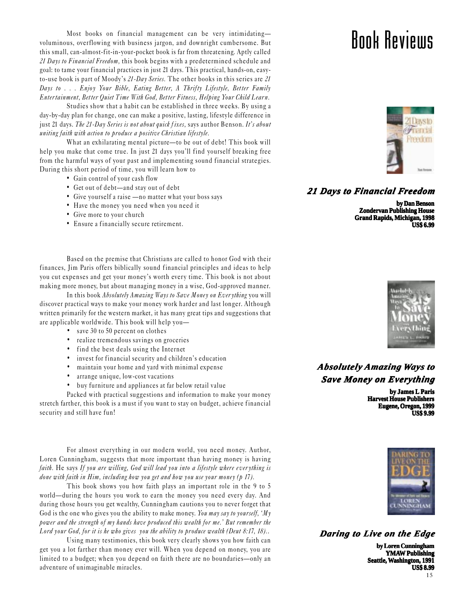Most books on financial management can be very intimidating voluminous, overflowing with business jargon, and downright cumbersome. But this small, can-almost-fit-in-your-pocket book is far from threatening. Aptly called 21 Days to Financial Freedom, this book begins with a predetermined schedule and goal: to tame your financial practices in just 21 days. This practical, hands-on, easyto-use book is part of Moody's  $21$ -Day Series. The other books in this series are  $21$ Days to . . . Enjoy Your Bible, Eating Better, A Thrifty Lifestyle, Better Family Entertainment, Better Quiet Time With God, Better Fitness, Helping Your Child Learn.

Studies show that a habit can be established in three weeks. By using a day-by-day plan for change, one can make a positive, lasting, lifestyle difference in just 21 days. The 21-Day Series is not about quick fixes, says author Benson. It's about uniting faith with action to produce a positive Christian lifestyle.

What an exhilarating mental picture—to be out of debt! This book will help you make that come true. In just 21 days you'll find yourself breaking free from the harmful ways of your past and implementing sound financial strategies. During this short period of time, you will learn how to

- Gain control of your cash flow
- Get out of debt-and stay out of debt
- Give yourself a raise no matter what your boss says
- Have the money you need when you need it
- Give more to your church
- Ensure a financially secure retirement.

Based on the premise that Christians are called to honor God with their finances, Jim Paris offers biblically sound financial principles and ideas to help you cut expenses and get your money's worth every time. This book is not about making more money, but about managing money in a wise, God-approved manner.

In this book Absolutely Amazing Ways to Save Money on Everything you will discover practical ways to make your money work harder and last longer. Although written primarily for the western market, it has many great tips and suggestions that are applicable worldwide. This book will help you

- save 30 to 50 percent on clothes
- realize tremendous savings on groceries
- find the best deals using the Internet
- $\bullet$  invest for financial security and children's education
- maintain your home and yard with minimal expense
- arrange unique, low-cost vacations
- buy furniture and appliances at far below retail value

Packed with practical suggestions and information to make your money stretch farther, this book is a must if you want to stay on budget, achieve financial security and still have fun!

For almost everything in our modern world, you need money. Author, Loren Cunningham, suggests that more important than having money is having faith. He says If you are willing, God will lead you into a lifestyle where everything is done with faith in Him, including how you get and how you use your money  $(p 17)$ .

This book shows you how faith plays an important role in the 9 to 5 world—during the hours you work to earn the money you need every day. And during those hours you get wealthy, Cunningham cautions you to never forget that God is the one who gives you the ability to make money. You may say to yourself,  $^tM_y$ power and the strength of my hands have produced this wealth for me.' But remember the Lord your God, for it is he who gives you the ability to produce wealth (Deut 8:17, 18)..

Using many testimonies, this book very clearly shows you how faith can get you a lot farther than money ever will. When you depend on money, you are limited to a budget; when you depend on faith there are no boundaries—only an adventure of unimaginable miracles.

### Book Reviews



*21 Days to Financial Freedom*

**by Dan Benson Zondervan Publishing House Grand Rapids, Michigan, 1998 US\$ 6.99**



### *Absolutel Absolutely Amazing Ways to Save Money on Everything*

**by James L Paris Harvest House Publishers Eugene, Oregon, 1999 US\$ 9.99**



*Daring to Live on the Edge*

15 **by Loren Cunningham YMAW Publishing Seattle, Washington, ashington, 1991 US\$ 8.99**